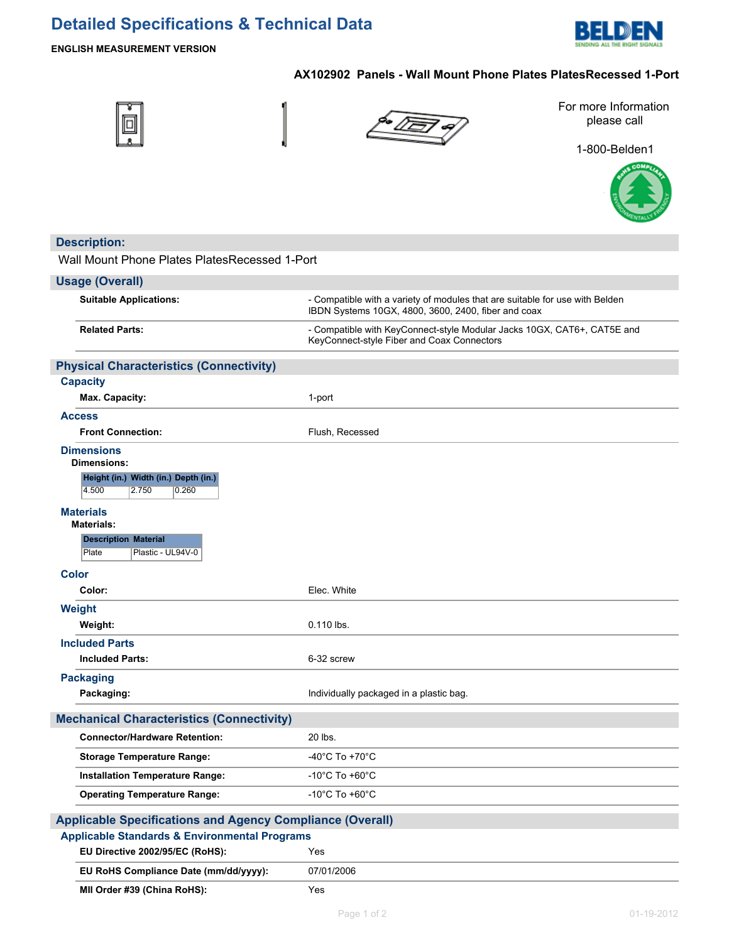# **Detailed Specifications & Technical Data**



# **ENGLISH MEASUREMENT VERSION**

# **AX102902 Panels - Wall Mount Phone Plates PlatesRecessed 1-Port**







For more Information please call

1-800-Belden1



| <b>Description:</b>                                              |                                                                                                                                     |  |  |  |
|------------------------------------------------------------------|-------------------------------------------------------------------------------------------------------------------------------------|--|--|--|
| Wall Mount Phone Plates Plates Recessed 1-Port                   |                                                                                                                                     |  |  |  |
| <b>Usage (Overall)</b>                                           |                                                                                                                                     |  |  |  |
| <b>Suitable Applications:</b>                                    | - Compatible with a variety of modules that are suitable for use with Belden<br>IBDN Systems 10GX, 4800, 3600, 2400, fiber and coax |  |  |  |
| <b>Related Parts:</b>                                            | - Compatible with KeyConnect-style Modular Jacks 10GX, CAT6+, CAT5E and<br>KeyConnect-style Fiber and Coax Connectors               |  |  |  |
| <b>Physical Characteristics (Connectivity)</b>                   |                                                                                                                                     |  |  |  |
| <b>Capacity</b>                                                  |                                                                                                                                     |  |  |  |
| Max. Capacity:                                                   | 1-port                                                                                                                              |  |  |  |
| <b>Access</b>                                                    |                                                                                                                                     |  |  |  |
| <b>Front Connection:</b>                                         | Flush, Recessed                                                                                                                     |  |  |  |
| <b>Dimensions</b>                                                |                                                                                                                                     |  |  |  |
| Dimensions:                                                      |                                                                                                                                     |  |  |  |
| Height (in.) Width (in.) Depth (in.)<br>4.500<br>2.750<br>0.260  |                                                                                                                                     |  |  |  |
| <b>Materials</b><br><b>Materials:</b>                            |                                                                                                                                     |  |  |  |
| <b>Description Material</b>                                      |                                                                                                                                     |  |  |  |
| Plate<br>Plastic - UL94V-0                                       |                                                                                                                                     |  |  |  |
| <b>Color</b>                                                     |                                                                                                                                     |  |  |  |
| Color:                                                           | Elec. White                                                                                                                         |  |  |  |
| Weight                                                           |                                                                                                                                     |  |  |  |
| Weight:                                                          | 0.110 lbs.                                                                                                                          |  |  |  |
| <b>Included Parts</b>                                            |                                                                                                                                     |  |  |  |
| <b>Included Parts:</b>                                           | 6-32 screw                                                                                                                          |  |  |  |
| <b>Packaging</b>                                                 |                                                                                                                                     |  |  |  |
| Packaging:                                                       | Individually packaged in a plastic bag.                                                                                             |  |  |  |
| <b>Mechanical Characteristics (Connectivity)</b>                 |                                                                                                                                     |  |  |  |
| <b>Connector/Hardware Retention:</b>                             | 20 lbs.                                                                                                                             |  |  |  |
| <b>Storage Temperature Range:</b>                                | -40°C To +70°C                                                                                                                      |  |  |  |
| <b>Installation Temperature Range:</b>                           | -10°C To +60°C                                                                                                                      |  |  |  |
| <b>Operating Temperature Range:</b>                              | -10 $^{\circ}$ C To +60 $^{\circ}$ C                                                                                                |  |  |  |
|                                                                  |                                                                                                                                     |  |  |  |
| <b>Applicable Specifications and Agency Compliance (Overall)</b> |                                                                                                                                     |  |  |  |
| <b>Applicable Standards &amp; Environmental Programs</b>         |                                                                                                                                     |  |  |  |
| EU Directive 2002/95/EC (RoHS):                                  | Yes                                                                                                                                 |  |  |  |
| EU RoHS Compliance Date (mm/dd/yyyy):                            | 07/01/2006                                                                                                                          |  |  |  |
| MII Order #39 (China RoHS):                                      | Yes                                                                                                                                 |  |  |  |